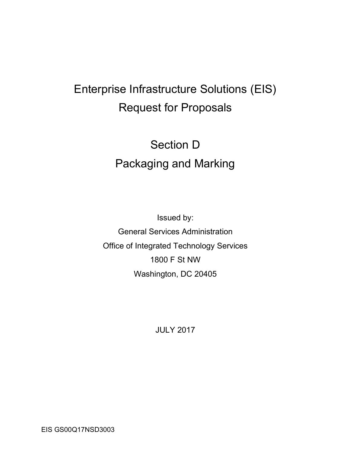# Enterprise Infrastructure Solutions (EIS) Request for Proposals

# Section D Packaging and Marking

Issued by: General Services Administration Office of Integrated Technology Services 1800 F St NW Washington, DC 20405

JULY 2017

EIS GS00Q17NSD3003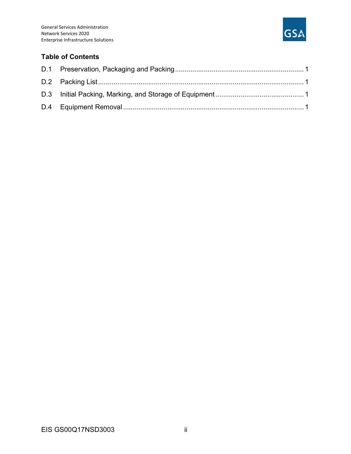

#### Table of Contents